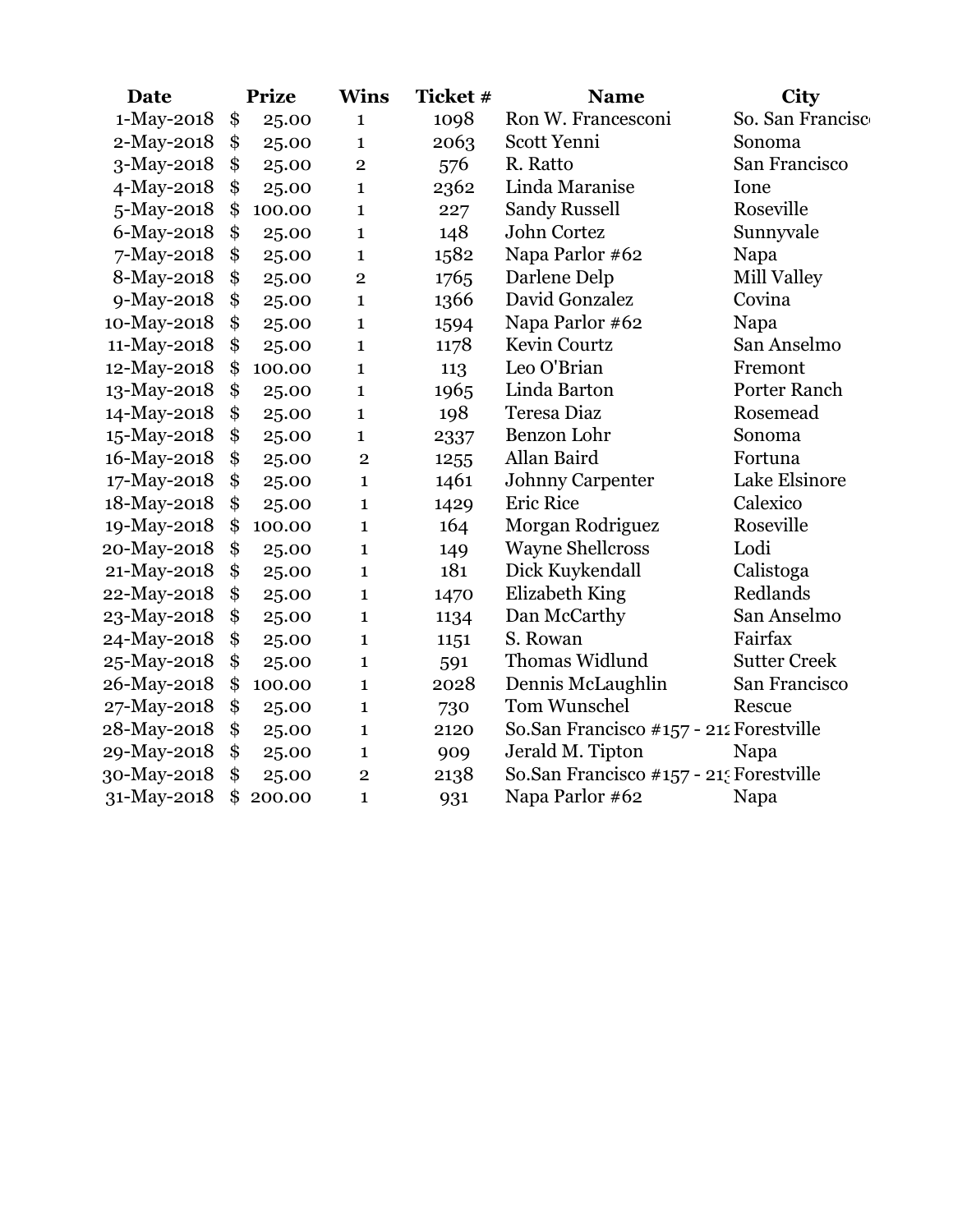| Date        | <b>Prize</b> | <b>Wins</b>    | Ticket # | <b>Name</b>                             | <b>City</b>         |
|-------------|--------------|----------------|----------|-----------------------------------------|---------------------|
| 1-May-2018  | \$<br>25.00  | $\mathbf{1}$   | 1098     | Ron W. Francesconi                      | So. San Francisc    |
| 2-May-2018  | \$<br>25.00  | $\mathbf{1}$   | 2063     | Scott Yenni                             | Sonoma              |
| 3-May-2018  | \$<br>25.00  | $\overline{2}$ | 576      | R. Ratto                                | San Francisco       |
| 4-May-2018  | \$<br>25.00  | $\mathbf{1}$   | 2362     | Linda Maranise                          | Ione                |
| 5-May-2018  | \$<br>100.00 | $\mathbf{1}$   | 227      | <b>Sandy Russell</b>                    | Roseville           |
| 6-May-2018  | \$<br>25.00  | $\mathbf{1}$   | 148      | John Cortez                             | Sunnyvale           |
| 7-May-2018  | \$<br>25.00  | $\mathbf 1$    | 1582     | Napa Parlor #62                         | Napa                |
| 8-May-2018  | \$<br>25.00  | $\overline{2}$ | 1765     | Darlene Delp                            | Mill Valley         |
| 9-May-2018  | \$<br>25.00  | $\mathbf{1}$   | 1366     | David Gonzalez                          | Covina              |
| 10-May-2018 | \$<br>25.00  | $\mathbf{1}$   | 1594     | Napa Parlor #62                         | Napa                |
| 11-May-2018 | \$<br>25.00  | $\mathbf{1}$   | 1178     | Kevin Courtz                            | San Anselmo         |
| 12-May-2018 | \$<br>100.00 | $\mathbf{1}$   | 113      | Leo O'Brian                             | Fremont             |
| 13-May-2018 | \$<br>25.00  | $\mathbf{1}$   | 1965     | Linda Barton                            | Porter Ranch        |
| 14-May-2018 | \$<br>25.00  | $\mathbf{1}$   | 198      | Teresa Diaz                             | Rosemead            |
| 15-May-2018 | \$<br>25.00  | $\mathbf{1}$   | 2337     | Benzon Lohr                             | Sonoma              |
| 16-May-2018 | \$<br>25.00  | $\overline{2}$ | 1255     | Allan Baird                             | Fortuna             |
| 17-May-2018 | \$<br>25.00  | $\mathbf{1}$   | 1461     | <b>Johnny Carpenter</b>                 | Lake Elsinore       |
| 18-May-2018 | \$<br>25.00  | $\mathbf{1}$   | 1429     | <b>Eric Rice</b>                        | Calexico            |
| 19-May-2018 | \$<br>100.00 | $\mathbf{1}$   | 164      | Morgan Rodriguez                        | Roseville           |
| 20-May-2018 | \$<br>25.00  | $\mathbf{1}$   | 149      | <b>Wayne Shellcross</b>                 | Lodi                |
| 21-May-2018 | \$<br>25.00  | $\mathbf{1}$   | 181      | Dick Kuykendall                         | Calistoga           |
| 22-May-2018 | \$<br>25.00  | $\mathbf{1}$   | 1470     | Elizabeth King                          | Redlands            |
| 23-May-2018 | \$<br>25.00  | $\mathbf{1}$   | 1134     | Dan McCarthy                            | San Anselmo         |
| 24-May-2018 | \$<br>25.00  | $\mathbf{1}$   | 1151     | S. Rowan                                | Fairfax             |
| 25-May-2018 | \$<br>25.00  | $\mathbf{1}$   | 591      | Thomas Widlund                          | <b>Sutter Creek</b> |
| 26-May-2018 | \$<br>100.00 | $\mathbf{1}$   | 2028     | Dennis McLaughlin                       | San Francisco       |
| 27-May-2018 | \$<br>25.00  | $\mathbf{1}$   | 730      | <b>Tom Wunschel</b>                     | Rescue              |
| 28-May-2018 | \$<br>25.00  | $\mathbf{1}$   | 2120     | So.San Francisco #157 - 212 Forestville |                     |
| 29-May-2018 | \$<br>25.00  | 1              | 909      | Jerald M. Tipton                        | Napa                |
| 30-May-2018 | \$<br>25.00  | $\overline{2}$ | 2138     | So.San Francisco #157 - 215 Forestville |                     |
| 31-May-2018 | \$<br>200.00 | $\mathbf{1}$   | 931      | Napa Parlor #62                         | Napa                |